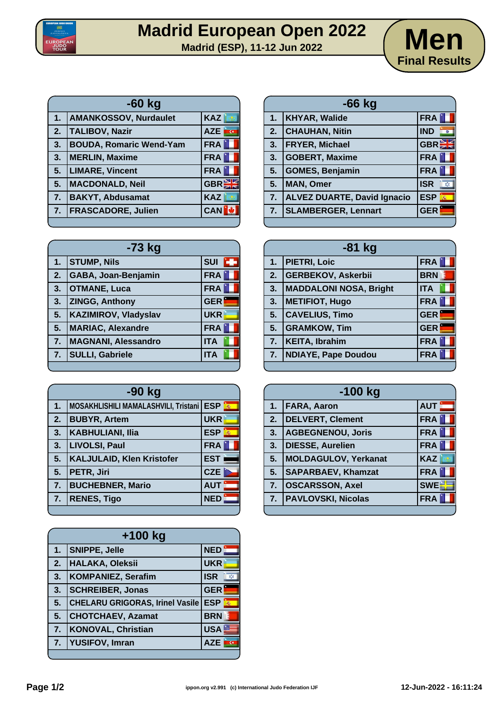



| $-60$ kg |                                |                                       |
|----------|--------------------------------|---------------------------------------|
| 1.       | <b>AMANKOSSOV, Nurdaulet</b>   | KAZ                                   |
| 2.       | <b>TALIBOV, Nazir</b>          | <b>AZE</b><br>$\overline{\mathbf{G}}$ |
| 3.       | <b>BOUDA, Romaric Wend-Yam</b> | <b>FRA</b>                            |
| 3.       | <b>MERLIN, Maxime</b>          | <b>FRA</b>                            |
| 5.       | <b>LIMARE, Vincent</b>         | <b>FRA</b>                            |
| 5.       | MACDONALD, Neil                | <b>GBR</b>                            |
| 7.       | <b>BAKYT, Abdusamat</b>        | <b>KAZ</b>                            |
| 7.       | <b>FRASCADORE, Julien</b>      | <b>CAN</b>                            |

| $-73$ kg |                             |                  |
|----------|-----------------------------|------------------|
|          | 1. STUMP, Nils              | <b>SUI</b><br>ъ. |
| 2.       | GABA, Joan-Benjamin         | <b>FRA</b>       |
| 3.       | <b>OTMANE, Luca</b>         | <b>FRA</b>       |
| 3.       | <b>ZINGG, Anthony</b>       | <b>GER</b>       |
| 5.       | <b>KAZIMIROV, Vladyslav</b> | <b>UKR</b>       |
| 5.       | <b>MARIAC, Alexandre</b>    | <b>FRA</b>       |
| 7.       | <b>MAGNANI, Alessandro</b>  | <b>ITA</b>       |
| 7.       | <b>SULLI, Gabriele</b>      | <b>ITA</b>       |
|          |                             |                  |

| $-90$ kg |                                            |            |
|----------|--------------------------------------------|------------|
| 1.       | MOSAKHLISHILI MAMALASHVILI, Tristani   ESP |            |
| 2.       | <b>BUBYR, Artem</b>                        | <b>UKR</b> |
| 3.       | <b>KABHULIANI, Ilia</b>                    | <b>ESP</b> |
| 3.       | LIVOLSI, Paul                              | <b>FRA</b> |
| 5.       | <b>KALJULAID, Klen Kristofer</b>           | <b>EST</b> |
| 5.       | PETR, Jiri                                 | <b>CZE</b> |
| 7.       | <b>BUCHEBNER, Mario</b>                    | <b>AUT</b> |
| 7.       | <b>RENES, Tigo</b>                         | <b>NED</b> |
|          |                                            |            |

| $+100$ kg |                                        |                  |
|-----------|----------------------------------------|------------------|
| 1.        | <b>SNIPPE, Jelle</b>                   | <b>NED</b>       |
| 2.        | HALAKA, Oleksii                        | <b>UKR</b>       |
| 3.        | <b>KOMPANIEZ, Serafim</b>              | <b>ISR</b><br>X) |
| 3.        | <b>SCHREIBER, Jonas</b>                | <b>GER</b>       |
| 5.        | <b>CHELARU GRIGORAS, Irinel Vasile</b> | <b>ESP</b>       |
| 5.        | <b>CHOTCHAEV, Azamat</b>               | <b>BRN</b>       |
| 7.        | <b>KONOVAL, Christian</b>              | USA <u>■</u>     |
| 7.        | <b>YUSIFOV, Imran</b>                  | <b>AZE</b>       |
|           |                                        |                  |

| $-66$ kg       |                                    |                       |
|----------------|------------------------------------|-----------------------|
| 1 <sub>1</sub> | <b>KHYAR, Walide</b>               | <b>FRA</b>            |
| 2.             | <b>CHAUHAN, Nitin</b>              | <b>IND</b><br>$\circ$ |
| 3.             | <b>FRYER, Michael</b>              | <b>GBREE</b>          |
| 3.             | <b>GOBERT, Maxime</b>              | <b>FRA</b>            |
| 5.             | <b>GOMES, Benjamin</b>             | <b>FRA</b>            |
| 5.             | <b>MAN, Omer</b>                   | <b>ISR</b><br>欢.      |
| 7.             | <b>ALVEZ DUARTE, David Ignacio</b> | <b>ESP</b><br>燕       |
| 7.             | <b>SLAMBERGER, Lennart</b>         | <b>GER</b>            |
|                |                                    |                       |

| $-81$ kg |                               |                 |
|----------|-------------------------------|-----------------|
|          | 1. PIETRI, Loic               | <b>FRA</b>      |
| 2.       | <b>GERBEKOV, Askerbii</b>     | B<br><b>BRN</b> |
| 3.       | <b>MADDALONI NOSA, Bright</b> | <b>ITA</b>      |
| 3.       | <b>METIFIOT, Hugo</b>         | <b>FRA</b>      |
| 5.       | <b>CAVELIUS, Timo</b>         | <b>GER</b>      |
| 5.       | <b>GRAMKOW, Tim</b>           | <b>GER</b>      |
| 7.       | <b>KEITA, Ibrahim</b>         | <b>FRA</b>      |
| 7.       | <b>NDIAYE, Pape Doudou</b>    | <b>FRA</b>      |
|          |                               |                 |

| $-100$ kg |                           |             |
|-----------|---------------------------|-------------|
| 1.        | <b>FARA, Aaron</b>        | <b>AUT</b>  |
| 2.        | <b>DELVERT, Clement</b>   | <b>FRA</b>  |
| 3.        | <b>AGBEGNENOU, Joris</b>  | <b>FRA</b>  |
| 3.        | DIESSE, Aurelien          | <b>FRA</b>  |
| 5.        | MOLDAGULOV, Yerkanat      | <b>KAZ</b>  |
| 5.        | <b>SAPARBAEV, Khamzat</b> | <b>FRA</b>  |
| 7.        | <b>OSCARSSON, Axel</b>    | <b>SWEE</b> |
| 7.        | <b>PAVLOVSKI, Nicolas</b> | <b>FRA</b>  |
|           |                           |             |